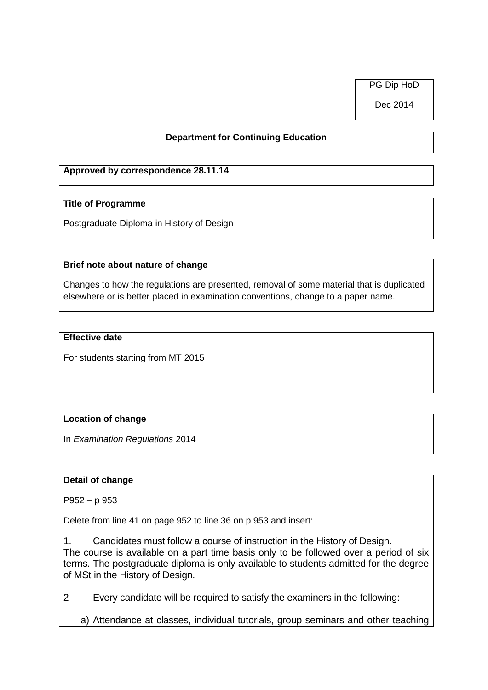PG Dip HoD

Dec 2014

## **Department for Continuing Education**

### **Approved by correspondence 28.11.14**

#### **Title of Programme**

Postgraduate Diploma in History of Design

#### **Brief note about nature of change**

Changes to how the regulations are presented, removal of some material that is duplicated elsewhere or is better placed in examination conventions, change to a paper name.

#### **Effective date**

For students starting from MT 2015

## **Location of change**

In *Examination Regulations* 2014

#### **Detail of change**

P952 – p 953

Delete from line 41 on page 952 to line 36 on p 953 and insert:

1. Candidates must follow a course of instruction in the History of Design. The course is available on a part time basis only to be followed over a period of six terms. The postgraduate diploma is only available to students admitted for the degree of MSt in the History of Design.

2 Every candidate will be required to satisfy the examiners in the following:

a) Attendance at classes, individual tutorials, group seminars and other teaching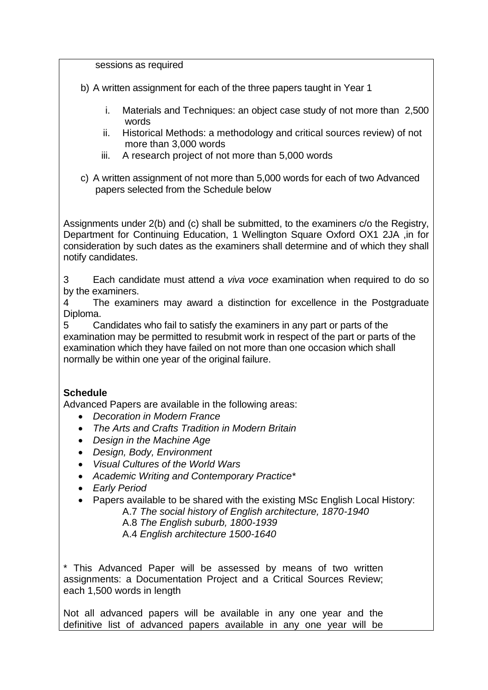sessions as required

b) A written assignment for each of the three papers taught in Year 1

- i. Materials and Techniques: an object case study of not more than 2,500 words
- ii. Historical Methods: a methodology and critical sources review) of not more than 3,000 words
- iii. A research project of not more than 5,000 words
- c) A written assignment of not more than 5,000 words for each of two Advanced papers selected from the Schedule below

Assignments under 2(b) and (c) shall be submitted, to the examiners c/o the Registry, Department for Continuing Education, 1 Wellington Square Oxford OX1 2JA ,in for consideration by such dates as the examiners shall determine and of which they shall notify candidates.

3 Each candidate must attend a *viva voce* examination when required to do so by the examiners.

4 The examiners may award a distinction for excellence in the Postgraduate Diploma.

5 Candidates who fail to satisfy the examiners in any part or parts of the examination may be permitted to resubmit work in respect of the part or parts of the examination which they have failed on not more than one occasion which shall normally be within one year of the original failure.

# **Schedule**

Advanced Papers are available in the following areas:

- *Decoration in Modern France*
- *The Arts and Crafts Tradition in Modern Britain*
- *Design in the Machine Age*
- *Design, Body, Environment*
- *Visual Cultures of the World Wars*
- *Academic Writing and Contemporary Practice\**
- *Early Period*
- Papers available to be shared with the existing MSc English Local History: A.7 *The social history of English architecture, 1870-1940*

A.8 *The English suburb, 1800-1939*

A.4 *English architecture 1500-1640*

\* This Advanced Paper will be assessed by means of two written assignments: a Documentation Project and a Critical Sources Review; each 1,500 words in length

Not all advanced papers will be available in any one year and the definitive list of advanced papers available in any one year will be